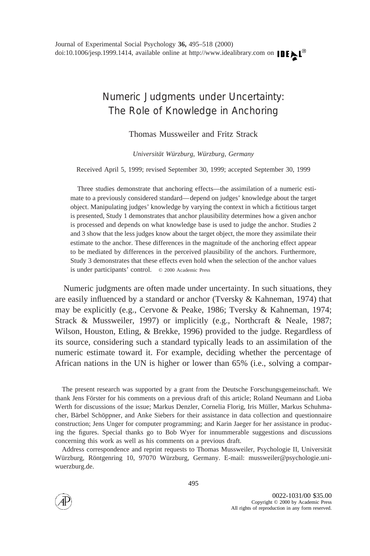# Numeric Judgments under Uncertainty: The Role of Knowledge in Anchoring

Thomas Mussweiler and Fritz Strack

*Universita¨t Wu¨rzburg, Wu¨rzburg, Germany*

Received April 5, 1999; revised September 30, 1999; accepted September 30, 1999

Three studies demonstrate that anchoring effects—the assimilation of a numeric estimate to a previously considered standard—depend on judges' knowledge about the target object. Manipulating judges' knowledge by varying the context in which a fictitious target is presented, Study 1 demonstrates that anchor plausibility determines how a given anchor is processed and depends on what knowledge base is used to judge the anchor. Studies 2 and 3 show that the less judges know about the target object, the more they assimilate their estimate to the anchor. These differences in the magnitude of the anchoring effect appear to be mediated by differences in the perceived plausibility of the anchors. Furthermore, Study 3 demonstrates that these effects even hold when the selection of the anchor values is under participants' control. © 2000 Academic Press

Numeric judgments are often made under uncertainty. In such situations, they are easily influenced by a standard or anchor (Tversky & Kahneman, 1974) that may be explicitly (e.g., Cervone & Peake, 1986; Tversky & Kahneman, 1974; Strack & Mussweiler, 1997) or implicitly (e.g., Northcraft & Neale, 1987; Wilson, Houston, Etling, & Brekke, 1996) provided to the judge. Regardless of its source, considering such a standard typically leads to an assimilation of the numeric estimate toward it. For example, deciding whether the percentage of African nations in the UN is higher or lower than 65% (i.e., solving a compar-

The present research was supported by a grant from the Deutsche Forschungsgemeinschaft. We thank Jens Förster for his comments on a previous draft of this article; Roland Neumann and Lioba Werth for discussions of the issue; Markus Denzler, Cornelia Florig, Iris Müller, Markus Schuhmacher, Bärbel Schöppner, and Anke Siebers for their assistance in data collection and questionnaire construction; Jens Unger for computer programming; and Karin Jaeger for her assistance in producing the figures. Special thanks go to Bob Wyer for innummerable suggestions and discussions concerning this work as well as his comments on a previous draft.

Address correspondence and reprint requests to Thomas Mussweiler, Psychologie II, Universität Würzburg, Röntgenring 10, 97070 Würzburg, Germany. E-mail: mussweiler@psychologie.uniwuerzburg.de.

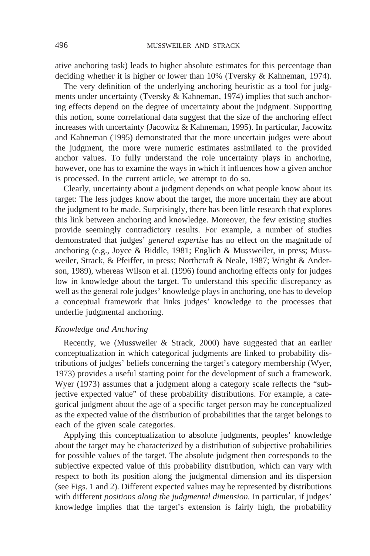ative anchoring task) leads to higher absolute estimates for this percentage than deciding whether it is higher or lower than 10% (Tversky & Kahneman, 1974).

The very definition of the underlying anchoring heuristic as a tool for judgments under uncertainty (Tversky & Kahneman, 1974) implies that such anchoring effects depend on the degree of uncertainty about the judgment. Supporting this notion, some correlational data suggest that the size of the anchoring effect increases with uncertainty (Jacowitz & Kahneman, 1995). In particular, Jacowitz and Kahneman (1995) demonstrated that the more uncertain judges were about the judgment, the more were numeric estimates assimilated to the provided anchor values. To fully understand the role uncertainty plays in anchoring, however, one has to examine the ways in which it influences how a given anchor is processed. In the current article, we attempt to do so.

Clearly, uncertainty about a judgment depends on what people know about its target: The less judges know about the target, the more uncertain they are about the judgment to be made. Surprisingly, there has been little research that explores this link between anchoring and knowledge. Moreover, the few existing studies provide seemingly contradictory results. For example, a number of studies demonstrated that judges' *general expertise* has no effect on the magnitude of anchoring (e.g., Joyce & Biddle, 1981; Englich & Mussweiler, in press; Mussweiler, Strack, & Pfeiffer, in press; Northcraft & Neale, 1987; Wright & Anderson, 1989), whereas Wilson et al. (1996) found anchoring effects only for judges low in knowledge about the target. To understand this specific discrepancy as well as the general role judges' knowledge plays in anchoring, one has to develop a conceptual framework that links judges' knowledge to the processes that underlie judgmental anchoring.

### *Knowledge and Anchoring*

Recently, we (Mussweiler & Strack, 2000) have suggested that an earlier conceptualization in which categorical judgments are linked to probability distributions of judges' beliefs concerning the target's category membership (Wyer, 1973) provides a useful starting point for the development of such a framework. Wyer (1973) assumes that a judgment along a category scale reflects the "subjective expected value" of these probability distributions. For example, a categorical judgment about the age of a specific target person may be conceptualized as the expected value of the distribution of probabilities that the target belongs to each of the given scale categories.

Applying this conceptualization to absolute judgments, peoples' knowledge about the target may be characterized by a distribution of subjective probabilities for possible values of the target. The absolute judgment then corresponds to the subjective expected value of this probability distribution, which can vary with respect to both its position along the judgmental dimension and its dispersion (see Figs. 1 and 2). Different expected values may be represented by distributions with different *positions along the judgmental dimension.* In particular, if judges' knowledge implies that the target's extension is fairly high, the probability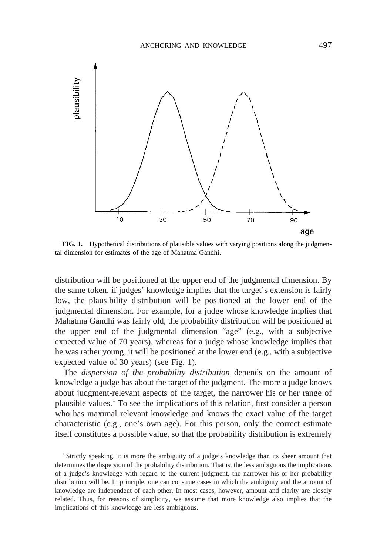

**FIG. 1.** Hypothetical distributions of plausible values with varying positions along the judgmental dimension for estimates of the age of Mahatma Gandhi.

distribution will be positioned at the upper end of the judgmental dimension. By the same token, if judges' knowledge implies that the target's extension is fairly low, the plausibility distribution will be positioned at the lower end of the judgmental dimension. For example, for a judge whose knowledge implies that Mahatma Gandhi was fairly old, the probability distribution will be positioned at the upper end of the judgmental dimension "age" (e.g., with a subjective expected value of 70 years), whereas for a judge whose knowledge implies that he was rather young, it will be positioned at the lower end (e.g., with a subjective expected value of 30 years) (see Fig. 1).

The *dispersion of the probability distribution* depends on the amount of knowledge a judge has about the target of the judgment. The more a judge knows about judgment-relevant aspects of the target, the narrower his or her range of plausible values.<sup>1</sup> To see the implications of this relation, first consider a person who has maximal relevant knowledge and knows the exact value of the target characteristic (e.g., one's own age). For this person, only the correct estimate itself constitutes a possible value, so that the probability distribution is extremely

<sup>1</sup> Strictly speaking, it is more the ambiguity of a judge's knowledge than its sheer amount that determines the dispersion of the probability distribution. That is, the less ambiguous the implications of a judge's knowledge with regard to the current judgment, the narrower his or her probability distribution will be. In principle, one can construe cases in which the ambiguity and the amount of knowledge are independent of each other. In most cases, however, amount and clarity are closely related. Thus, for reasons of simplicity, we assume that more knowledge also implies that the implications of this knowledge are less ambiguous.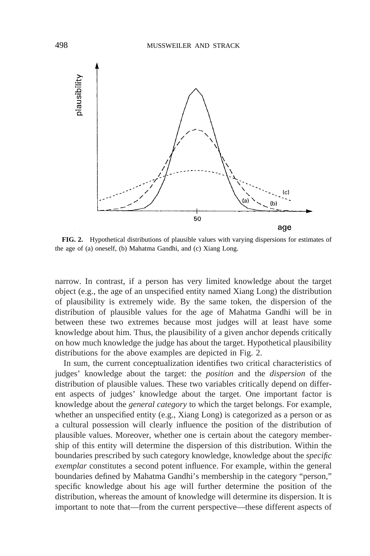

**FIG. 2.** Hypothetical distributions of plausible values with varying dispersions for estimates of the age of (a) oneself, (b) Mahatma Gandhi, and (c) Xiang Long.

narrow. In contrast, if a person has very limited knowledge about the target object (e.g., the age of an unspecified entity named Xiang Long) the distribution of plausibility is extremely wide. By the same token, the dispersion of the distribution of plausible values for the age of Mahatma Gandhi will be in between these two extremes because most judges will at least have some knowledge about him. Thus, the plausibility of a given anchor depends critically on how much knowledge the judge has about the target. Hypothetical plausibility distributions for the above examples are depicted in Fig. 2.

In sum, the current conceptualization identifies two critical characteristics of judges' knowledge about the target: the *position* and the *dispersion* of the distribution of plausible values. These two variables critically depend on different aspects of judges' knowledge about the target. One important factor is knowledge about the *general category* to which the target belongs. For example, whether an unspecified entity (e.g., Xiang Long) is categorized as a person or as a cultural possession will clearly influence the position of the distribution of plausible values. Moreover, whether one is certain about the category membership of this entity will determine the dispersion of this distribution. Within the boundaries prescribed by such category knowledge, knowledge about the *specific exemplar* constitutes a second potent influence. For example, within the general boundaries defined by Mahatma Gandhi's membership in the category "person," specific knowledge about his age will further determine the position of the distribution, whereas the amount of knowledge will determine its dispersion. It is important to note that—from the current perspective—these different aspects of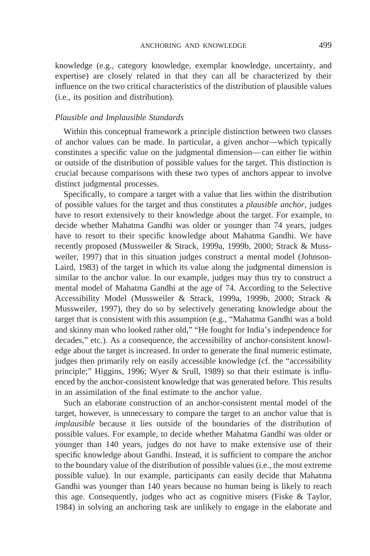knowledge (e.g., category knowledge, exemplar knowledge, uncertainty, and expertise) are closely related in that they can all be characterized by their influence on the two critical characteristics of the distribution of plausible values (i.e., its position and distribution).

### *Plausible and Implausible Standards*

Within this conceptual framework a principle distinction between two classes of anchor values can be made. In particular, a given anchor—which typically constitutes a specific value on the judgmental dimension—can either lie within or outside of the distribution of possible values for the target. This distinction is crucial because comparisons with these two types of anchors appear to involve distinct judgmental processes.

Specifically, to compare a target with a value that lies within the distribution of possible values for the target and thus constitutes a *plausible anchor,* judges have to resort extensively to their knowledge about the target. For example, to decide whether Mahatma Gandhi was older or younger than 74 years, judges have to resort to their specific knowledge about Mahatma Gandhi. We have recently proposed (Mussweiler & Strack, 1999a, 1999b, 2000; Strack & Mussweiler, 1997) that in this situation judges construct a mental model (Johnson-Laird, 1983) of the target in which its value along the judgmental dimension is similar to the anchor value. In our example, judges may thus try to construct a mental model of Mahatma Gandhi at the age of 74. According to the Selective Accessibility Model (Mussweiler & Strack, 1999a, 1999b, 2000; Strack & Mussweiler, 1997), they do so by selectively generating knowledge about the target that is consistent with this assumption (e.g., "Mahatma Gandhi was a bold and skinny man who looked rather old," "He fought for India's independence for decades," etc.). As a consequence, the accessibility of anchor-consistent knowledge about the target is increased. In order to generate the final numeric estimate, judges then primarily rely on easily accessible knowledge (cf. the "accessibility principle;" Higgins, 1996; Wyer & Srull, 1989) so that their estimate is influenced by the anchor-consistent knowledge that was generated before. This results in an assimilation of the final estimate to the anchor value.

Such an elaborate construction of an anchor-consistent mental model of the target, however, is unnecessary to compare the target to an anchor value that is *implausible* because it lies outside of the boundaries of the distribution of possible values. For example, to decide whether Mahatma Gandhi was older or younger than 140 years, judges do not have to make extensive use of their specific knowledge about Gandhi. Instead, it is sufficient to compare the anchor to the boundary value of the distribution of possible values (i.e., the most extreme possible value). In our example, participants can easily decide that Mahatma Gandhi was younger than 140 years because no human being is likely to reach this age. Consequently, judges who act as cognitive misers (Fiske & Taylor, 1984) in solving an anchoring task are unlikely to engage in the elaborate and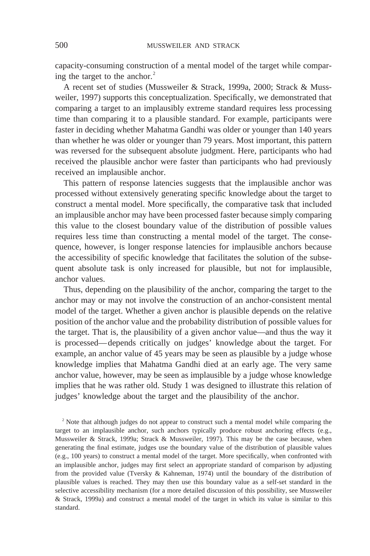capacity-consuming construction of a mental model of the target while comparing the target to the anchor. $<sup>2</sup>$ </sup>

A recent set of studies (Mussweiler & Strack, 1999a, 2000; Strack & Mussweiler, 1997) supports this conceptualization. Specifically, we demonstrated that comparing a target to an implausibly extreme standard requires less processing time than comparing it to a plausible standard. For example, participants were faster in deciding whether Mahatma Gandhi was older or younger than 140 years than whether he was older or younger than 79 years. Most important, this pattern was reversed for the subsequent absolute judgment. Here, participants who had received the plausible anchor were faster than participants who had previously received an implausible anchor.

This pattern of response latencies suggests that the implausible anchor was processed without extensively generating specific knowledge about the target to construct a mental model. More specifically, the comparative task that included an implausible anchor may have been processed faster because simply comparing this value to the closest boundary value of the distribution of possible values requires less time than constructing a mental model of the target. The consequence, however, is longer response latencies for implausible anchors because the accessibility of specific knowledge that facilitates the solution of the subsequent absolute task is only increased for plausible, but not for implausible, anchor values.

Thus, depending on the plausibility of the anchor, comparing the target to the anchor may or may not involve the construction of an anchor-consistent mental model of the target. Whether a given anchor is plausible depends on the relative position of the anchor value and the probability distribution of possible values for the target. That is, the plausibility of a given anchor value—and thus the way it is processed—depends critically on judges' knowledge about the target. For example, an anchor value of 45 years may be seen as plausible by a judge whose knowledge implies that Mahatma Gandhi died at an early age. The very same anchor value, however, may be seen as implausible by a judge whose knowledge implies that he was rather old. Study 1 was designed to illustrate this relation of judges' knowledge about the target and the plausibility of the anchor.

<sup>2</sup> Note that although judges do not appear to construct such a mental model while comparing the target to an implausible anchor, such anchors typically produce robust anchoring effects (e.g., Mussweiler & Strack, 1999a; Strack & Mussweiler, 1997). This may be the case because, when generating the final estimate, judges use the boundary value of the distribution of plausible values (e.g., 100 years) to construct a mental model of the target. More specifically, when confronted with an implausible anchor, judges may first select an appropriate standard of comparison by adjusting from the provided value (Tversky & Kahneman, 1974) until the boundary of the distribution of plausible values is reached. They may then use this boundary value as a self-set standard in the selective accessibility mechanism (for a more detailed discussion of this possibility, see Mussweiler & Strack, 1999a) and construct a mental model of the target in which its value is similar to this standard.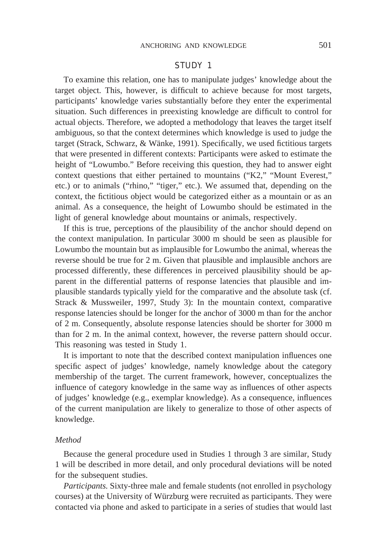# STUDY 1

To examine this relation, one has to manipulate judges' knowledge about the target object. This, however, is difficult to achieve because for most targets, participants' knowledge varies substantially before they enter the experimental situation. Such differences in preexisting knowledge are difficult to control for actual objects. Therefore, we adopted a methodology that leaves the target itself ambiguous, so that the context determines which knowledge is used to judge the target (Strack, Schwarz, & Wänke, 1991). Specifically, we used fictitious targets that were presented in different contexts: Participants were asked to estimate the height of "Lowumbo." Before receiving this question, they had to answer eight context questions that either pertained to mountains ("K2," "Mount Everest," etc.) or to animals ("rhino," "tiger," etc.). We assumed that, depending on the context, the fictitious object would be categorized either as a mountain or as an animal. As a consequence, the height of Lowumbo should be estimated in the light of general knowledge about mountains or animals, respectively.

If this is true, perceptions of the plausibility of the anchor should depend on the context manipulation. In particular 3000 m should be seen as plausible for Lowumbo the mountain but as implausible for Lowumbo the animal, whereas the reverse should be true for 2 m. Given that plausible and implausible anchors are processed differently, these differences in perceived plausibility should be apparent in the differential patterns of response latencies that plausible and implausible standards typically yield for the comparative and the absolute task (cf. Strack & Mussweiler, 1997, Study 3): In the mountain context, comparative response latencies should be longer for the anchor of 3000 m than for the anchor of 2 m. Consequently, absolute response latencies should be shorter for 3000 m than for 2 m. In the animal context, however, the reverse pattern should occur. This reasoning was tested in Study 1.

It is important to note that the described context manipulation influences one specific aspect of judges' knowledge, namely knowledge about the category membership of the target. The current framework, however, conceptualizes the influence of category knowledge in the same way as influences of other aspects of judges' knowledge (e.g., exemplar knowledge). As a consequence, influences of the current manipulation are likely to generalize to those of other aspects of knowledge.

#### *Method*

Because the general procedure used in Studies 1 through 3 are similar, Study 1 will be described in more detail, and only procedural deviations will be noted for the subsequent studies.

*Participants.* Sixty-three male and female students (not enrolled in psychology courses) at the University of Würzburg were recruited as participants. They were contacted via phone and asked to participate in a series of studies that would last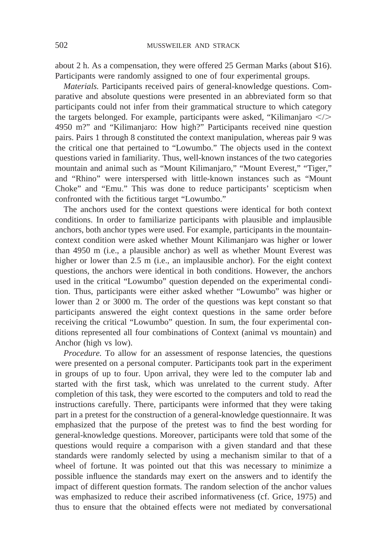about 2 h. As a compensation, they were offered 25 German Marks (about \$16). Participants were randomly assigned to one of four experimental groups.

*Materials.* Participants received pairs of general-knowledge questions. Comparative and absolute questions were presented in an abbreviated form so that participants could not infer from their grammatical structure to which category the targets belonged. For example, participants were asked, "Kilimanjaro  $\lt$  /> 4950 m?" and "Kilimanjaro: How high?" Participants received nine question pairs. Pairs 1 through 8 constituted the context manipulation, whereas pair 9 was the critical one that pertained to "Lowumbo." The objects used in the context questions varied in familiarity. Thus, well-known instances of the two categories mountain and animal such as "Mount Kilimanjaro," "Mount Everest," "Tiger," and "Rhino" were interspersed with little-known instances such as "Mount Choke" and "Emu." This was done to reduce participants' scepticism when confronted with the fictitious target "Lowumbo."

The anchors used for the context questions were identical for both context conditions. In order to familiarize participants with plausible and implausible anchors, both anchor types were used. For example, participants in the mountaincontext condition were asked whether Mount Kilimanjaro was higher or lower than 4950 m (i.e., a plausible anchor) as well as whether Mount Everest was higher or lower than 2.5 m (i.e., an implausible anchor). For the eight context questions, the anchors were identical in both conditions. However, the anchors used in the critical "Lowumbo" question depended on the experimental condition. Thus, participants were either asked whether "Lowumbo" was higher or lower than 2 or 3000 m. The order of the questions was kept constant so that participants answered the eight context questions in the same order before receiving the critical "Lowumbo" question. In sum, the four experimental conditions represented all four combinations of Context (animal vs mountain) and Anchor (high vs low).

*Procedure.* To allow for an assessment of response latencies, the questions were presented on a personal computer. Participants took part in the experiment in groups of up to four. Upon arrival, they were led to the computer lab and started with the first task, which was unrelated to the current study. After completion of this task, they were escorted to the computers and told to read the instructions carefully. There, participants were informed that they were taking part in a pretest for the construction of a general-knowledge questionnaire. It was emphasized that the purpose of the pretest was to find the best wording for general-knowledge questions. Moreover, participants were told that some of the questions would require a comparison with a given standard and that these standards were randomly selected by using a mechanism similar to that of a wheel of fortune. It was pointed out that this was necessary to minimize a possible influence the standards may exert on the answers and to identify the impact of different question formats. The random selection of the anchor values was emphasized to reduce their ascribed informativeness (cf. Grice, 1975) and thus to ensure that the obtained effects were not mediated by conversational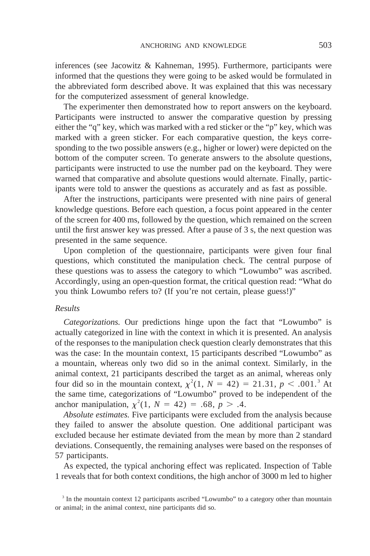inferences (see Jacowitz & Kahneman, 1995). Furthermore, participants were informed that the questions they were going to be asked would be formulated in the abbreviated form described above. It was explained that this was necessary for the computerized assessment of general knowledge.

The experimenter then demonstrated how to report answers on the keyboard. Participants were instructed to answer the comparative question by pressing either the "q" key, which was marked with a red sticker or the "p" key, which was marked with a green sticker. For each comparative question, the keys corresponding to the two possible answers (e.g., higher or lower) were depicted on the bottom of the computer screen. To generate answers to the absolute questions, participants were instructed to use the number pad on the keyboard. They were warned that comparative and absolute questions would alternate. Finally, participants were told to answer the questions as accurately and as fast as possible.

After the instructions, participants were presented with nine pairs of general knowledge questions. Before each question, a focus point appeared in the center of the screen for 400 ms, followed by the question, which remained on the screen until the first answer key was pressed. After a pause of 3 s, the next question was presented in the same sequence.

Upon completion of the questionnaire, participants were given four final questions, which constituted the manipulation check. The central purpose of these questions was to assess the category to which "Lowumbo" was ascribed. Accordingly, using an open-question format, the critical question read: "What do you think Lowumbo refers to? (If you're not certain, please guess!)"

#### *Results*

*Categorizations.* Our predictions hinge upon the fact that "Lowumbo" is actually categorized in line with the context in which it is presented. An analysis of the responses to the manipulation check question clearly demonstrates that this was the case: In the mountain context, 15 participants described "Lowumbo" as a mountain, whereas only two did so in the animal context. Similarly, in the animal context, 21 participants described the target as an animal, whereas only four did so in the mountain context,  $\chi^2(1, N = 42) = 21.31, p < .001$ .<sup>3</sup> At the same time, categorizations of "Lowumbo" proved to be independent of the anchor manipulation,  $\chi^2(1, N = 42) = .68, p > .4$ .

*Absolute estimates.* Five participants were excluded from the analysis because they failed to answer the absolute question. One additional participant was excluded because her estimate deviated from the mean by more than 2 standard deviations. Consequently, the remaining analyses were based on the responses of 57 participants.

As expected, the typical anchoring effect was replicated. Inspection of Table 1 reveals that for both context conditions, the high anchor of 3000 m led to higher

<sup>&</sup>lt;sup>3</sup> In the mountain context 12 participants ascribed "Lowumbo" to a category other than mountain or animal; in the animal context, nine participants did so.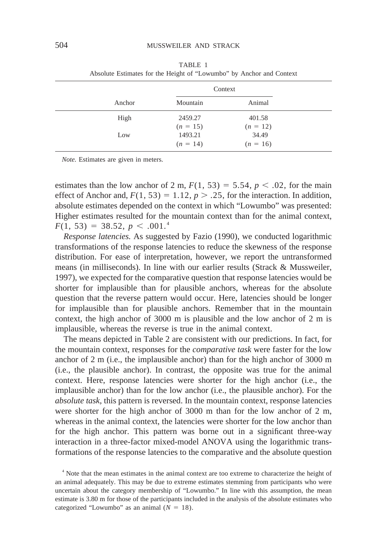|        | ັ          |            |  |
|--------|------------|------------|--|
|        | Context    |            |  |
| Anchor | Mountain   | Animal     |  |
| High   | 2459.27    | 401.58     |  |
|        | $(n = 15)$ | $(n = 12)$ |  |
| Low    | 1493.21    | 34.49      |  |
|        | $(n = 14)$ | $(n = 16)$ |  |
|        |            |            |  |

TABLE 1 Absolute Estimates for the Height of "Lowumbo" by Anchor and Context

*Note.* Estimates are given in meters.

estimates than the low anchor of 2 m,  $F(1, 53) = 5.54$ ,  $p < .02$ , for the main effect of Anchor and,  $F(1, 53) = 1.12$ ,  $p > .25$ , for the interaction. In addition, absolute estimates depended on the context in which "Lowumbo" was presented: Higher estimates resulted for the mountain context than for the animal context,  $F(1, 53) = 38.52, p < .001.<sup>4</sup>$ 

*Response latencies.* As suggested by Fazio (1990), we conducted logarithmic transformations of the response latencies to reduce the skewness of the response distribution. For ease of interpretation, however, we report the untransformed means (in milliseconds). In line with our earlier results (Strack & Mussweiler, 1997), we expected for the comparative question that response latencies would be shorter for implausible than for plausible anchors, whereas for the absolute question that the reverse pattern would occur. Here, latencies should be longer for implausible than for plausible anchors. Remember that in the mountain context, the high anchor of 3000 m is plausible and the low anchor of 2 m is implausible, whereas the reverse is true in the animal context.

The means depicted in Table 2 are consistent with our predictions. In fact, for the mountain context, responses for the *comparative task* were faster for the low anchor of 2 m (i.e., the implausible anchor) than for the high anchor of 3000 m (i.e., the plausible anchor). In contrast, the opposite was true for the animal context. Here, response latencies were shorter for the high anchor (i.e., the implausible anchor) than for the low anchor (i.e., the plausible anchor). For the *absolute task,* this pattern is reversed. In the mountain context, response latencies were shorter for the high anchor of 3000 m than for the low anchor of 2 m, whereas in the animal context, the latencies were shorter for the low anchor than for the high anchor. This pattern was borne out in a significant three-way interaction in a three-factor mixed-model ANOVA using the logarithmic transformations of the response latencies to the comparative and the absolute question

<sup>4</sup> Note that the mean estimates in the animal context are too extreme to characterize the height of an animal adequately. This may be due to extreme estimates stemming from participants who were uncertain about the category membership of "Lowumbo." In line with this assumption, the mean estimate is 3.80 m for those of the participants included in the analysis of the absolute estimates who categorized "Lowumbo" as an animal  $(N = 18)$ .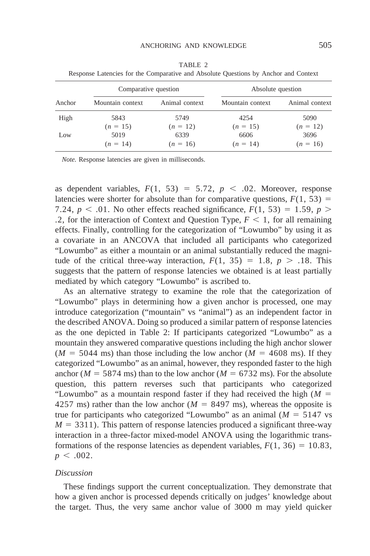|        | Comparative question |                | Absolute question |                |
|--------|----------------------|----------------|-------------------|----------------|
| Anchor | Mountain context     | Animal context | Mountain context  | Animal context |
| High   | 5843                 | 5749           | 42.54             | 5090           |
|        | $(n = 15)$           | $(n = 12)$     | $(n = 15)$        | $(n = 12)$     |
| Low    | 5019                 | 6339           | 6606              | 3696           |
|        | $(n = 14)$           | $(n = 16)$     | $(n = 14)$        | $(n = 16)$     |

TABLE 2 Response Latencies for the Comparative and Absolute Questions by Anchor and Context

*Note.* Response latencies are given in milliseconds.

as dependent variables,  $F(1, 53) = 5.72$ ,  $p < .02$ . Moreover, response latencies were shorter for absolute than for comparative questions,  $F(1, 53) =$ 7.24,  $p < .01$ . No other effects reached significance,  $F(1, 53) = 1.59$ ,  $p >$ .2, for the interaction of Context and Question Type,  $F < 1$ , for all remaining effects. Finally, controlling for the categorization of "Lowumbo" by using it as a covariate in an ANCOVA that included all participants who categorized "Lowumbo" as either a mountain or an animal substantially reduced the magnitude of the critical three-way interaction,  $F(1, 35) = 1.8$ ,  $p > .18$ . This suggests that the pattern of response latencies we obtained is at least partially mediated by which category "Lowumbo" is ascribed to.

As an alternative strategy to examine the role that the categorization of "Lowumbo" plays in determining how a given anchor is processed, one may introduce categorization ("mountain" vs "animal") as an independent factor in the described ANOVA. Doing so produced a similar pattern of response latencies as the one depicted in Table 2: If participants categorized "Lowumbo" as a mountain they answered comparative questions including the high anchor slower  $(M = 5044 \text{ ms})$  than those including the low anchor  $(M = 4608 \text{ ms})$ . If they categorized "Lowumbo" as an animal, however, they responded faster to the high anchor ( $M = 5874$  ms) than to the low anchor ( $M = 6732$  ms). For the absolute question, this pattern reverses such that participants who categorized "Lowumbo" as a mountain respond faster if they had received the high  $(M =$ 4257 ms) rather than the low anchor ( $M = 8497$  ms), whereas the opposite is true for participants who categorized "Lowumbo" as an animal  $(M = 5147 \text{ vs } 100 \text{ m})$  $M = 3311$ ). This pattern of response latencies produced a significant three-way interaction in a three-factor mixed-model ANOVA using the logarithmic transformations of the response latencies as dependent variables,  $F(1, 36) = 10.83$ ,  $p < .002$ .

### *Discussion*

These findings support the current conceptualization. They demonstrate that how a given anchor is processed depends critically on judges' knowledge about the target. Thus, the very same anchor value of 3000 m may yield quicker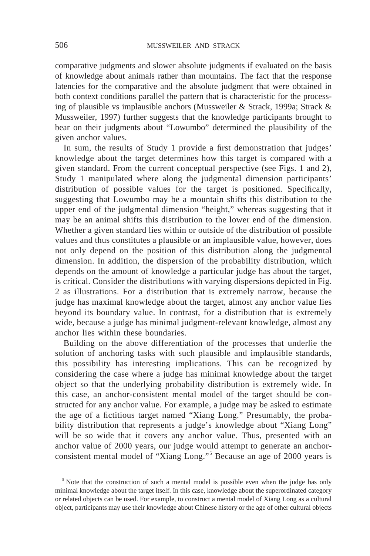comparative judgments and slower absolute judgments if evaluated on the basis of knowledge about animals rather than mountains. The fact that the response latencies for the comparative and the absolute judgment that were obtained in both context conditions parallel the pattern that is characteristic for the processing of plausible vs implausible anchors (Mussweiler & Strack, 1999a; Strack & Mussweiler, 1997) further suggests that the knowledge participants brought to bear on their judgments about "Lowumbo" determined the plausibility of the given anchor values.

In sum, the results of Study 1 provide a first demonstration that judges' knowledge about the target determines how this target is compared with a given standard. From the current conceptual perspective (see Figs. 1 and 2), Study 1 manipulated where along the judgmental dimension participants' distribution of possible values for the target is positioned. Specifically, suggesting that Lowumbo may be a mountain shifts this distribution to the upper end of the judgmental dimension "height," whereas suggesting that it may be an animal shifts this distribution to the lower end of the dimension. Whether a given standard lies within or outside of the distribution of possible values and thus constitutes a plausible or an implausible value, however, does not only depend on the position of this distribution along the judgmental dimension. In addition, the dispersion of the probability distribution, which depends on the amount of knowledge a particular judge has about the target, is critical. Consider the distributions with varying dispersions depicted in Fig. 2 as illustrations. For a distribution that is extremely narrow, because the judge has maximal knowledge about the target, almost any anchor value lies beyond its boundary value. In contrast, for a distribution that is extremely wide, because a judge has minimal judgment-relevant knowledge, almost any anchor lies within these boundaries.

Building on the above differentiation of the processes that underlie the solution of anchoring tasks with such plausible and implausible standards, this possibility has interesting implications. This can be recognized by considering the case where a judge has minimal knowledge about the target object so that the underlying probability distribution is extremely wide. In this case, an anchor-consistent mental model of the target should be constructed for any anchor value. For example, a judge may be asked to estimate the age of a fictitious target named "Xiang Long." Presumably, the probability distribution that represents a judge's knowledge about "Xiang Long" will be so wide that it covers any anchor value. Thus, presented with an anchor value of 2000 years, our judge would attempt to generate an anchorconsistent mental model of "Xiang Long."<sup>5</sup> Because an age of 2000 years is

<sup>&</sup>lt;sup>5</sup> Note that the construction of such a mental model is possible even when the judge has only minimal knowledge about the target itself. In this case, knowledge about the superordinated category or related objects can be used. For example, to construct a mental model of Xiang Long as a cultural object, participants may use their knowledge about Chinese history or the age of other cultural objects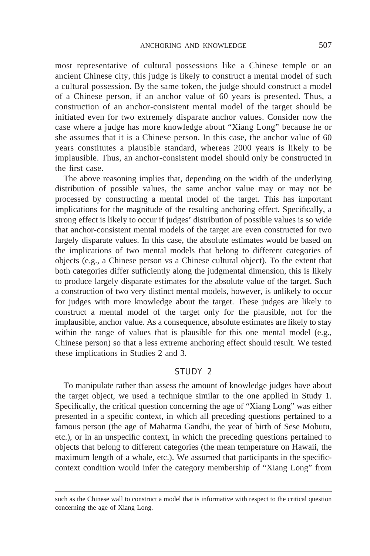most representative of cultural possessions like a Chinese temple or an ancient Chinese city, this judge is likely to construct a mental model of such a cultural possession. By the same token, the judge should construct a model of a Chinese person, if an anchor value of 60 years is presented. Thus, a construction of an anchor-consistent mental model of the target should be initiated even for two extremely disparate anchor values. Consider now the case where a judge has more knowledge about "Xiang Long" because he or she assumes that it is a Chinese person. In this case, the anchor value of 60 years constitutes a plausible standard, whereas 2000 years is likely to be implausible. Thus, an anchor-consistent model should only be constructed in the first case.

The above reasoning implies that, depending on the width of the underlying distribution of possible values, the same anchor value may or may not be processed by constructing a mental model of the target. This has important implications for the magnitude of the resulting anchoring effect. Specifically, a strong effect is likely to occur if judges' distribution of possible values is so wide that anchor-consistent mental models of the target are even constructed for two largely disparate values. In this case, the absolute estimates would be based on the implications of two mental models that belong to different categories of objects (e.g., a Chinese person vs a Chinese cultural object). To the extent that both categories differ sufficiently along the judgmental dimension, this is likely to produce largely disparate estimates for the absolute value of the target. Such a construction of two very distinct mental models, however, is unlikely to occur for judges with more knowledge about the target. These judges are likely to construct a mental model of the target only for the plausible, not for the implausible, anchor value. As a consequence, absolute estimates are likely to stay within the range of values that is plausible for this one mental model (e.g., Chinese person) so that a less extreme anchoring effect should result. We tested these implications in Studies 2 and 3.

# STUDY 2

To manipulate rather than assess the amount of knowledge judges have about the target object, we used a technique similar to the one applied in Study 1. Specifically, the critical question concerning the age of "Xiang Long" was either presented in a specific context, in which all preceding questions pertained to a famous person (the age of Mahatma Gandhi, the year of birth of Sese Mobutu, etc.), or in an unspecific context, in which the preceding questions pertained to objects that belong to different categories (the mean temperature on Hawaii, the maximum length of a whale, etc.). We assumed that participants in the specificcontext condition would infer the category membership of "Xiang Long" from

such as the Chinese wall to construct a model that is informative with respect to the critical question concerning the age of Xiang Long.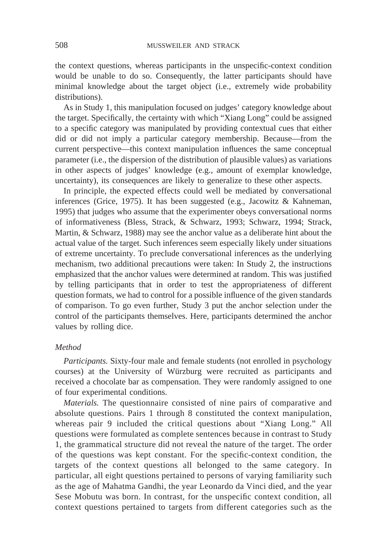the context questions, whereas participants in the unspecific-context condition would be unable to do so. Consequently, the latter participants should have minimal knowledge about the target object (i.e., extremely wide probability distributions).

As in Study 1, this manipulation focused on judges' category knowledge about the target. Specifically, the certainty with which "Xiang Long" could be assigned to a specific category was manipulated by providing contextual cues that either did or did not imply a particular category membership. Because—from the current perspective—this context manipulation influences the same conceptual parameter (i.e., the dispersion of the distribution of plausible values) as variations in other aspects of judges' knowledge (e.g., amount of exemplar knowledge, uncertainty), its consequences are likely to generalize to these other aspects.

In principle, the expected effects could well be mediated by conversational inferences (Grice, 1975). It has been suggested (e.g., Jacowitz & Kahneman, 1995) that judges who assume that the experimenter obeys conversational norms of informativeness (Bless, Strack, & Schwarz, 1993; Schwarz, 1994; Strack, Martin, & Schwarz, 1988) may see the anchor value as a deliberate hint about the actual value of the target. Such inferences seem especially likely under situations of extreme uncertainty. To preclude conversational inferences as the underlying mechanism, two additional precautions were taken: In Study 2, the instructions emphasized that the anchor values were determined at random. This was justified by telling participants that in order to test the appropriateness of different question formats, we had to control for a possible influence of the given standards of comparison. To go even further, Study 3 put the anchor selection under the control of the participants themselves. Here, participants determined the anchor values by rolling dice.

# *Method*

*Participants.* Sixty-four male and female students (not enrolled in psychology courses) at the University of Wu¨rzburg were recruited as participants and received a chocolate bar as compensation. They were randomly assigned to one of four experimental conditions.

*Materials.* The questionnaire consisted of nine pairs of comparative and absolute questions. Pairs 1 through 8 constituted the context manipulation, whereas pair 9 included the critical questions about "Xiang Long." All questions were formulated as complete sentences because in contrast to Study 1, the grammatical structure did not reveal the nature of the target. The order of the questions was kept constant. For the specific-context condition, the targets of the context questions all belonged to the same category. In particular, all eight questions pertained to persons of varying familiarity such as the age of Mahatma Gandhi, the year Leonardo da Vinci died, and the year Sese Mobutu was born. In contrast, for the unspecific context condition, all context questions pertained to targets from different categories such as the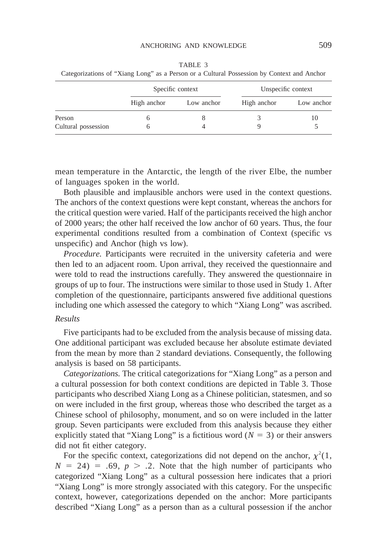|                     | Specific context |            | Unspecific context |            |
|---------------------|------------------|------------|--------------------|------------|
|                     | High anchor      | Low anchor | High anchor        | Low anchor |
| Person              |                  |            |                    |            |
| Cultural possession |                  |            |                    |            |

TABLE 3 Categorizations of "Xiang Long" as a Person or a Cultural Possession by Context and Anchor

mean temperature in the Antarctic, the length of the river Elbe, the number of languages spoken in the world.

Both plausible and implausible anchors were used in the context questions. The anchors of the context questions were kept constant, whereas the anchors for the critical question were varied. Half of the participants received the high anchor of 2000 years; the other half received the low anchor of 60 years. Thus, the four experimental conditions resulted from a combination of Context (specific vs unspecific) and Anchor (high vs low).

*Procedure.* Participants were recruited in the university cafeteria and were then led to an adjacent room. Upon arrival, they received the questionnaire and were told to read the instructions carefully. They answered the questionnaire in groups of up to four. The instructions were similar to those used in Study 1. After completion of the questionnaire, participants answered five additional questions including one which assessed the category to which "Xiang Long" was ascribed.

# *Results*

Five participants had to be excluded from the analysis because of missing data. One additional participant was excluded because her absolute estimate deviated from the mean by more than 2 standard deviations. Consequently, the following analysis is based on 58 participants.

*Categorizations.* The critical categorizations for "Xiang Long" as a person and a cultural possession for both context conditions are depicted in Table 3. Those participants who described Xiang Long as a Chinese politician, statesmen, and so on were included in the first group, whereas those who described the target as a Chinese school of philosophy, monument, and so on were included in the latter group. Seven participants were excluded from this analysis because they either explicitly stated that "Xiang Long" is a fictitious word ( $N = 3$ ) or their answers did not fit either category.

For the specific context, categorizations did not depend on the anchor,  $\chi^2(1, \mathbf{r})$  $N = 24$ ) = .69,  $p > 0.2$ . Note that the high number of participants who categorized "Xiang Long" as a cultural possession here indicates that a priori "Xiang Long" is more strongly associated with this category. For the unspecific context, however, categorizations depended on the anchor: More participants described "Xiang Long" as a person than as a cultural possession if the anchor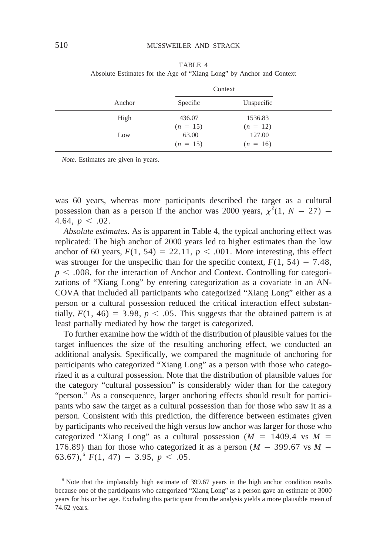|        | Context    |            |
|--------|------------|------------|
| Anchor | Specific   | Unspecific |
| High   | 436.07     | 1536.83    |
|        | $(n = 15)$ | $(n = 12)$ |
| Low    | 63.00      | 127.00     |
|        | $(n = 15)$ | $(n = 16)$ |

TABLE 4 Absolute Estimates for the Age of "Xiang Long" by Anchor and Context

*Note.* Estimates are given in years.

was 60 years, whereas more participants described the target as a cultural possession than as a person if the anchor was 2000 years,  $\chi^2(1, N = 27)$  = 4.64,  $p < .02$ .

*Absolute estimates.* As is apparent in Table 4, the typical anchoring effect was replicated: The high anchor of 2000 years led to higher estimates than the low anchor of 60 years,  $F(1, 54) = 22.11$ ,  $p < .001$ . More interesting, this effect was stronger for the unspecific than for the specific context,  $F(1, 54) = 7.48$ ,  $p < .008$ , for the interaction of Anchor and Context. Controlling for categorizations of "Xiang Long" by entering categorization as a covariate in an AN-COVA that included all participants who categorized "Xiang Long" either as a person or a cultural possession reduced the critical interaction effect substantially,  $F(1, 46) = 3.98$ ,  $p < .05$ . This suggests that the obtained pattern is at least partially mediated by how the target is categorized.

To further examine how the width of the distribution of plausible values for the target influences the size of the resulting anchoring effect, we conducted an additional analysis. Specifically, we compared the magnitude of anchoring for participants who categorized "Xiang Long" as a person with those who categorized it as a cultural possession. Note that the distribution of plausible values for the category "cultural possession" is considerably wider than for the category "person." As a consequence, larger anchoring effects should result for participants who saw the target as a cultural possession than for those who saw it as a person. Consistent with this prediction, the difference between estimates given by participants who received the high versus low anchor was larger for those who categorized "Xiang Long" as a cultural possession ( $M = 1409.4$  vs  $M =$ 176.89) than for those who categorized it as a person ( $M = 399.67$  vs  $M =$ 63.67),  $^{6}$  *F*(1, 47) = 3.95, *p* < .05.

<sup>6</sup> Note that the implausibly high estimate of 399.67 years in the high anchor condition results because one of the participants who categorized "Xiang Long" as a person gave an estimate of 3000 years for his or her age. Excluding this participant from the analysis yields a more plausible mean of 74.62 years.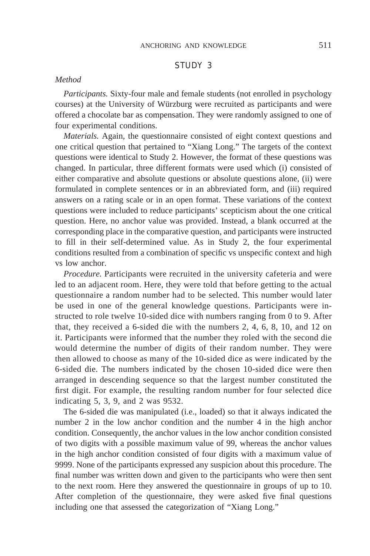# STUDY 3

### *Method*

*Participants.* Sixty-four male and female students (not enrolled in psychology courses) at the University of Würzburg were recruited as participants and were offered a chocolate bar as compensation. They were randomly assigned to one of four experimental conditions.

*Materials.* Again, the questionnaire consisted of eight context questions and one critical question that pertained to "Xiang Long." The targets of the context questions were identical to Study 2. However, the format of these questions was changed. In particular, three different formats were used which (i) consisted of either comparative and absolute questions or absolute questions alone, (ii) were formulated in complete sentences or in an abbreviated form, and (iii) required answers on a rating scale or in an open format. These variations of the context questions were included to reduce participants' scepticism about the one critical question. Here, no anchor value was provided. Instead, a blank occurred at the corresponding place in the comparative question, and participants were instructed to fill in their self-determined value. As in Study 2, the four experimental conditions resulted from a combination of specific vs unspecific context and high vs low anchor.

*Procedure.* Participants were recruited in the university cafeteria and were led to an adjacent room. Here, they were told that before getting to the actual questionnaire a random number had to be selected. This number would later be used in one of the general knowledge questions. Participants were instructed to role twelve 10-sided dice with numbers ranging from 0 to 9. After that, they received a 6-sided die with the numbers 2, 4, 6, 8, 10, and 12 on it. Participants were informed that the number they roled with the second die would determine the number of digits of their random number. They were then allowed to choose as many of the 10-sided dice as were indicated by the 6-sided die. The numbers indicated by the chosen 10-sided dice were then arranged in descending sequence so that the largest number constituted the first digit. For example, the resulting random number for four selected dice indicating 5, 3, 9, and 2 was 9532.

The 6-sided die was manipulated (i.e., loaded) so that it always indicated the number 2 in the low anchor condition and the number 4 in the high anchor condition. Consequently, the anchor values in the low anchor condition consisted of two digits with a possible maximum value of 99, whereas the anchor values in the high anchor condition consisted of four digits with a maximum value of 9999. None of the participants expressed any suspicion about this procedure. The final number was written down and given to the participants who were then sent to the next room. Here they answered the questionnaire in groups of up to 10. After completion of the questionnaire, they were asked five final questions including one that assessed the categorization of "Xiang Long."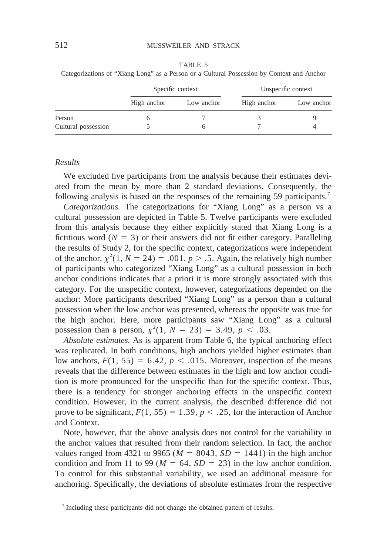|                     | Specific context |            | Unspecific context |            |
|---------------------|------------------|------------|--------------------|------------|
|                     | High anchor      | Low anchor | High anchor        | Low anchor |
| Person              |                  |            |                    |            |
| Cultural possession |                  |            |                    |            |

TABLE 5

Categorizations of "Xiang Long" as a Person or a Cultural Possession by Context and Anchor

### *Results*

We excluded five participants from the analysis because their estimates deviated from the mean by more than 2 standard deviations. Consequently, the following analysis is based on the responses of the remaining 59 participants.<sup>7</sup>

*Categorizations.* The categorizations for "Xiang Long" as a person vs a cultural possession are depicted in Table 5. Twelve participants were excluded from this analysis because they either explicitly stated that Xiang Long is a fictitious word ( $N = 3$ ) or their answers did not fit either category. Paralleling the results of Study 2, for the specific context, categorizations were independent of the anchor,  $\chi^2(1, N = 24) = .001$ ,  $p > .5$ . Again, the relatively high number of participants who categorized "Xiang Long" as a cultural possession in both anchor conditions indicates that a priori it is more strongly associated with this category. For the unspecific context, however, categorizations depended on the anchor: More participants described "Xiang Long" as a person than a cultural possession when the low anchor was presented, whereas the opposite was true for the high anchor. Here, more participants saw "Xiang Long" as a cultural possession than a person,  $\chi^2(1, N = 23) = 3.49$ ,  $p < .03$ .

*Absolute estimates.* As is apparent from Table 6, the typical anchoring effect was replicated. In both conditions, high anchors yielded higher estimates than low anchors,  $F(1, 55) = 6.42$ ,  $p < .015$ . Moreover, inspection of the means reveals that the difference between estimates in the high and low anchor condition is more pronounced for the unspecific than for the specific context. Thus, there is a tendency for stronger anchoring effects in the unspecific context condition. However, in the current analysis, the described difference did not prove to be significant,  $F(1, 55) = 1.39$ ,  $p < .25$ , for the interaction of Anchor and Context.

Note, however, that the above analysis does not control for the variability in the anchor values that resulted from their random selection. In fact, the anchor values ranged from 4321 to 9965 ( $M = 8043$ ,  $SD = 1441$ ) in the high anchor condition and from 11 to 99 ( $M = 64$ ,  $SD = 23$ ) in the low anchor condition. To control for this substantial variability, we used an additional measure for anchoring. Specifically, the deviations of absolute estimates from the respective

 $<sup>7</sup>$  Including these participants did not change the obtained pattern of results.</sup>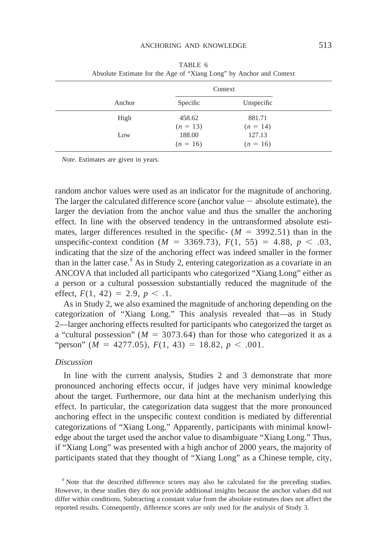### ANCHORING AND KNOWLEDGE 513

|        | Context    |            |
|--------|------------|------------|
| Anchor | Specific   | Unspecific |
| High   | 458.62     | 881.71     |
|        | $(n = 13)$ | $(n = 14)$ |
| Low    | 188.00     | 127.13     |
|        | $(n = 16)$ | $(n = 16)$ |

TABLE 6 Absolute Estimate for the Age of "Xiang Long" by Anchor and Context

*Note.* Estimates are given in years.

random anchor values were used as an indicator for the magnitude of anchoring. The larger the calculated difference score (anchor value  $-$  absolute estimate), the larger the deviation from the anchor value and thus the smaller the anchoring effect. In line with the observed tendency in the untransformed absolute estimates, larger differences resulted in the specific-  $(M = 3992.51)$  than in the unspecific-context condition ( $M = 3369.73$ ),  $F(1, 55) = 4.88$ ,  $p < .03$ , indicating that the size of the anchoring effect was indeed smaller in the former than in the latter case.<sup>8</sup> As in Study 2, entering categorization as a covariate in an ANCOVA that included all participants who categorized "Xiang Long" either as a person or a cultural possession substantially reduced the magnitude of the effect,  $F(1, 42) = 2.9, p < .1.$ 

As in Study 2, we also examined the magnitude of anchoring depending on the categorization of "Xiang Long." This analysis revealed that—as in Study 2—larger anchoring effects resulted for participants who categorized the target as a "cultural possession" ( $M = 3073.64$ ) than for those who categorized it as a "person" ( $M = 4277.05$ ),  $F(1, 43) = 18.82$ ,  $p < .001$ .

### *Discussion*

In line with the current analysis, Studies 2 and 3 demonstrate that more pronounced anchoring effects occur, if judges have very minimal knowledge about the target. Furthermore, our data hint at the mechanism underlying this effect. In particular, the categorization data suggest that the more pronounced anchoring effect in the unspecific context condition is mediated by differential categorizations of "Xiang Long." Apparently, participants with minimal knowledge about the target used the anchor value to disambiguate "Xiang Long." Thus, if "Xiang Long" was presented with a high anchor of 2000 years, the majority of participants stated that they thought of "Xiang Long" as a Chinese temple, city,

<sup>8</sup> Note that the described difference scores may also be calculated for the preceding studies. However, in these studies they do not provide additional insights because the anchor values did not differ within conditions. Subtracting a constant value from the absolute estimates does not affect the reported results. Consequently, difference scores are only used for the analysis of Study 3.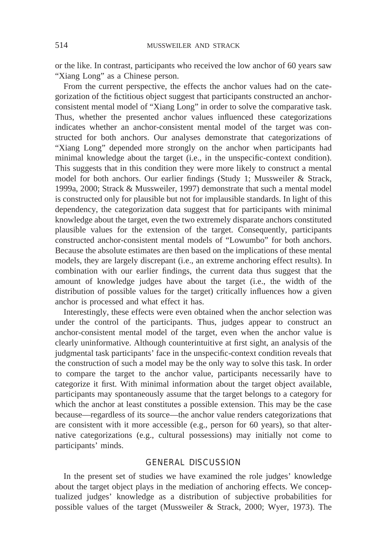or the like. In contrast, participants who received the low anchor of 60 years saw "Xiang Long" as a Chinese person.

From the current perspective, the effects the anchor values had on the categorization of the fictitious object suggest that participants constructed an anchorconsistent mental model of "Xiang Long" in order to solve the comparative task. Thus, whether the presented anchor values influenced these categorizations indicates whether an anchor-consistent mental model of the target was constructed for both anchors. Our analyses demonstrate that categorizations of "Xiang Long" depended more strongly on the anchor when participants had minimal knowledge about the target (i.e., in the unspecific-context condition). This suggests that in this condition they were more likely to construct a mental model for both anchors. Our earlier findings (Study 1; Mussweiler & Strack, 1999a, 2000; Strack & Mussweiler, 1997) demonstrate that such a mental model is constructed only for plausible but not for implausible standards. In light of this dependency, the categorization data suggest that for participants with minimal knowledge about the target, even the two extremely disparate anchors constituted plausible values for the extension of the target. Consequently, participants constructed anchor-consistent mental models of "Lowumbo" for both anchors. Because the absolute estimates are then based on the implications of these mental models, they are largely discrepant (i.e., an extreme anchoring effect results). In combination with our earlier findings, the current data thus suggest that the amount of knowledge judges have about the target (i.e., the width of the distribution of possible values for the target) critically influences how a given anchor is processed and what effect it has.

Interestingly, these effects were even obtained when the anchor selection was under the control of the participants. Thus, judges appear to construct an anchor-consistent mental model of the target, even when the anchor value is clearly uninformative. Although counterintuitive at first sight, an analysis of the judgmental task participants' face in the unspecific-context condition reveals that the construction of such a model may be the only way to solve this task. In order to compare the target to the anchor value, participants necessarily have to categorize it first. With minimal information about the target object available, participants may spontaneously assume that the target belongs to a category for which the anchor at least constitutes a possible extension. This may be the case because—regardless of its source—the anchor value renders categorizations that are consistent with it more accessible (e.g., person for 60 years), so that alternative categorizations (e.g., cultural possessions) may initially not come to participants' minds.

# GENERAL DISCUSSION

In the present set of studies we have examined the role judges' knowledge about the target object plays in the mediation of anchoring effects. We conceptualized judges' knowledge as a distribution of subjective probabilities for possible values of the target (Mussweiler & Strack, 2000; Wyer, 1973). The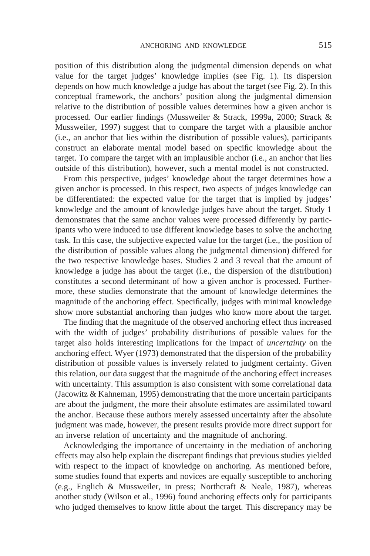position of this distribution along the judgmental dimension depends on what value for the target judges' knowledge implies (see Fig. 1). Its dispersion depends on how much knowledge a judge has about the target (see Fig. 2). In this conceptual framework, the anchors' position along the judgmental dimension relative to the distribution of possible values determines how a given anchor is processed. Our earlier findings (Mussweiler & Strack, 1999a, 2000; Strack & Mussweiler, 1997) suggest that to compare the target with a plausible anchor (i.e., an anchor that lies within the distribution of possible values), participants construct an elaborate mental model based on specific knowledge about the target. To compare the target with an implausible anchor (i.e., an anchor that lies outside of this distribution), however, such a mental model is not constructed.

From this perspective, judges' knowledge about the target determines how a given anchor is processed. In this respect, two aspects of judges knowledge can be differentiated: the expected value for the target that is implied by judges' knowledge and the amount of knowledge judges have about the target. Study 1 demonstrates that the same anchor values were processed differently by participants who were induced to use different knowledge bases to solve the anchoring task. In this case, the subjective expected value for the target (i.e., the position of the distribution of possible values along the judgmental dimension) differed for the two respective knowledge bases. Studies 2 and 3 reveal that the amount of knowledge a judge has about the target (i.e., the dispersion of the distribution) constitutes a second determinant of how a given anchor is processed. Furthermore, these studies demonstrate that the amount of knowledge determines the magnitude of the anchoring effect. Specifically, judges with minimal knowledge show more substantial anchoring than judges who know more about the target.

The finding that the magnitude of the observed anchoring effect thus increased with the width of judges' probability distributions of possible values for the target also holds interesting implications for the impact of *uncertainty* on the anchoring effect. Wyer (1973) demonstrated that the dispersion of the probability distribution of possible values is inversely related to judgment certainty. Given this relation, our data suggest that the magnitude of the anchoring effect increases with uncertainty. This assumption is also consistent with some correlational data (Jacowitz & Kahneman, 1995) demonstrating that the more uncertain participants are about the judgment, the more their absolute estimates are assimilated toward the anchor. Because these authors merely assessed uncertainty after the absolute judgment was made, however, the present results provide more direct support for an inverse relation of uncertainty and the magnitude of anchoring.

Acknowledging the importance of uncertainty in the mediation of anchoring effects may also help explain the discrepant findings that previous studies yielded with respect to the impact of knowledge on anchoring. As mentioned before, some studies found that experts and novices are equally susceptible to anchoring (e.g., Englich & Mussweiler, in press; Northcraft & Neale, 1987), whereas another study (Wilson et al., 1996) found anchoring effects only for participants who judged themselves to know little about the target. This discrepancy may be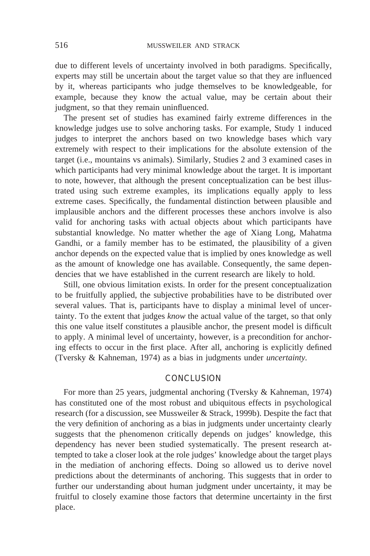due to different levels of uncertainty involved in both paradigms. Specifically, experts may still be uncertain about the target value so that they are influenced by it, whereas participants who judge themselves to be knowledgeable, for example, because they know the actual value, may be certain about their judgment, so that they remain uninfluenced.

The present set of studies has examined fairly extreme differences in the knowledge judges use to solve anchoring tasks. For example, Study 1 induced judges to interpret the anchors based on two knowledge bases which vary extremely with respect to their implications for the absolute extension of the target (i.e., mountains vs animals). Similarly, Studies 2 and 3 examined cases in which participants had very minimal knowledge about the target. It is important to note, however, that although the present conceptualization can be best illustrated using such extreme examples, its implications equally apply to less extreme cases. Specifically, the fundamental distinction between plausible and implausible anchors and the different processes these anchors involve is also valid for anchoring tasks with actual objects about which participants have substantial knowledge. No matter whether the age of Xiang Long, Mahatma Gandhi, or a family member has to be estimated, the plausibility of a given anchor depends on the expected value that is implied by ones knowledge as well as the amount of knowledge one has available. Consequently, the same dependencies that we have established in the current research are likely to hold.

Still, one obvious limitation exists. In order for the present conceptualization to be fruitfully applied, the subjective probabilities have to be distributed over several values. That is, participants have to display a minimal level of uncertainty. To the extent that judges *know* the actual value of the target, so that only this one value itself constitutes a plausible anchor, the present model is difficult to apply. A minimal level of uncertainty, however, is a precondition for anchoring effects to occur in the first place. After all, anchoring is explicitly defined (Tversky & Kahneman, 1974) as a bias in judgments under *uncertainty.*

## **CONCLUSION**

For more than 25 years, judgmental anchoring (Tversky & Kahneman, 1974) has constituted one of the most robust and ubiquitous effects in psychological research (for a discussion, see Mussweiler & Strack, 1999b). Despite the fact that the very definition of anchoring as a bias in judgments under uncertainty clearly suggests that the phenomenon critically depends on judges' knowledge, this dependency has never been studied systematically. The present research attempted to take a closer look at the role judges' knowledge about the target plays in the mediation of anchoring effects. Doing so allowed us to derive novel predictions about the determinants of anchoring. This suggests that in order to further our understanding about human judgment under uncertainty, it may be fruitful to closely examine those factors that determine uncertainty in the first place.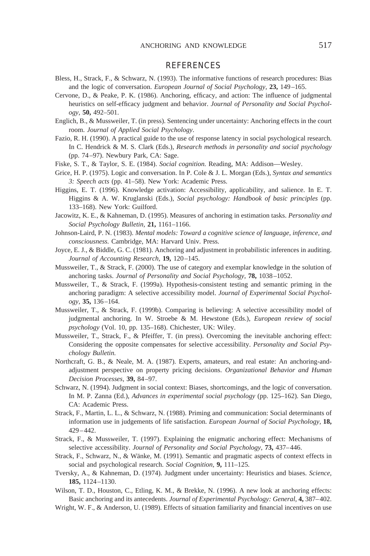# **REFERENCES**

- Bless, H., Strack, F., & Schwarz, N. (1993). The informative functions of research procedures: Bias and the logic of conversation. *European Journal of Social Psychology,* **23,** 149–165.
- Cervone, D., & Peake, P. K. (1986). Anchoring, efficacy, and action: The influence of judgmental heuristics on self-efficacy judgment and behavior. *Journal of Personality and Social Psychology,* **50,** 492–501.
- Englich, B., & Mussweiler, T. (in press). Sentencing under uncertainty: Anchoring effects in the court room. *Journal of Applied Social Psychology*.
- Fazio, R. H. (1990). A practical guide to the use of response latency in social psychological research. In C. Hendrick & M. S. Clark (Eds.), *Research methods in personality and social psychology* (pp. 74–97). Newbury Park, CA: Sage.
- Fiske, S. T., & Taylor, S. E. (1984). *Social cognition.* Reading, MA: Addison—Wesley.
- Grice, H. P. (1975). Logic and conversation. In P. Cole & J. L. Morgan (Eds.), *Syntax and semantics 3: Speech acts* (pp. 41–58). New York: Academic Press.
- Higgins, E. T. (1996). Knowledge activation: Accessibility, applicability, and salience. In E. T. Higgins & A. W. Kruglanski (Eds.), *Social psychology: Handbook of basic principles* (pp. 133–168). New York: Guilford.
- Jacowitz, K. E., & Kahneman, D. (1995). Measures of anchoring in estimation tasks. *Personality and Social Psychology Bulletin,* **21,** 1161–1166.
- Johnson-Laird, P. N. (1983). *Mental models: Toward a cognitive science of language, inference, and consciousness.* Cambridge, MA: Harvard Univ. Press.
- Joyce, E. J., & Biddle, G. C. (1981). Anchoring and adjustment in probabilistic inferences in auditing. *Journal of Accounting Research,* **19,** 120–145.
- Mussweiler, T., & Strack, F. (2000). The use of category and exemplar knowledge in the solution of anchoring tasks. *Journal of Personality and Social Psychology,* **78,** 1038–1052.
- Mussweiler, T., & Strack, F. (1999a). Hypothesis-consistent testing and semantic priming in the anchoring paradigm: A selective accessibility model. *Journal of Experimental Social Psychology,* **35,** 136–164.
- Mussweiler, T., & Strack, F. (1999b). Comparing is believing: A selective accessibility model of judgmental anchoring. In W. Stroebe & M. Hewstone (Eds.), *European review of social psychology* (Vol. 10, pp. 135–168). Chichester, UK: Wiley.
- Mussweiler, T., Strack, F., & Pfeiffer, T. (in press). Overcoming the inevitable anchoring effect: Considering the opposite compensates for selective accessibility. *Personality and Social Psychology Bulletin.*
- Northcraft, G. B., & Neale, M. A. (1987). Experts, amateurs, and real estate: An anchoring-andadjustment perspective on property pricing decisions. *Organizational Behavior and Human Decision Processes,* **39,** 84–97.
- Schwarz, N. (1994). Judgment in social context: Biases, shortcomings, and the logic of conversation. In M. P. Zanna (Ed.), *Advances in experimental social psychology* (pp. 125–162). San Diego, CA: Academic Press.
- Strack, F., Martin, L. L., & Schwarz, N. (1988). Priming and communication: Social determinants of information use in judgements of life satisfaction. *European Journal of Social Psychology,* **18,** 429–442.
- Strack, F., & Mussweiler, T. (1997). Explaining the enigmatic anchoring effect: Mechanisms of selective accessibility. *Journal of Personality and Social Psychology,* **73,** 437–446.
- Strack, F., Schwarz, N., & Wänke, M. (1991). Semantic and pragmatic aspects of context effects in social and psychological research. *Social Cognition,* **9,** 111–125.
- Tversky, A., & Kahneman, D. (1974). Judgment under uncertainty: Heuristics and biases. *Science,* **185,** 1124–1130.
- Wilson, T. D., Houston, C., Etling, K. M., & Brekke, N. (1996). A new look at anchoring effects: Basic anchoring and its antecedents. *Journal of Experimental Psychology: General,* **4,** 387–402.
- Wright, W. F., & Anderson, U. (1989). Effects of situation familiarity and financial incentives on use